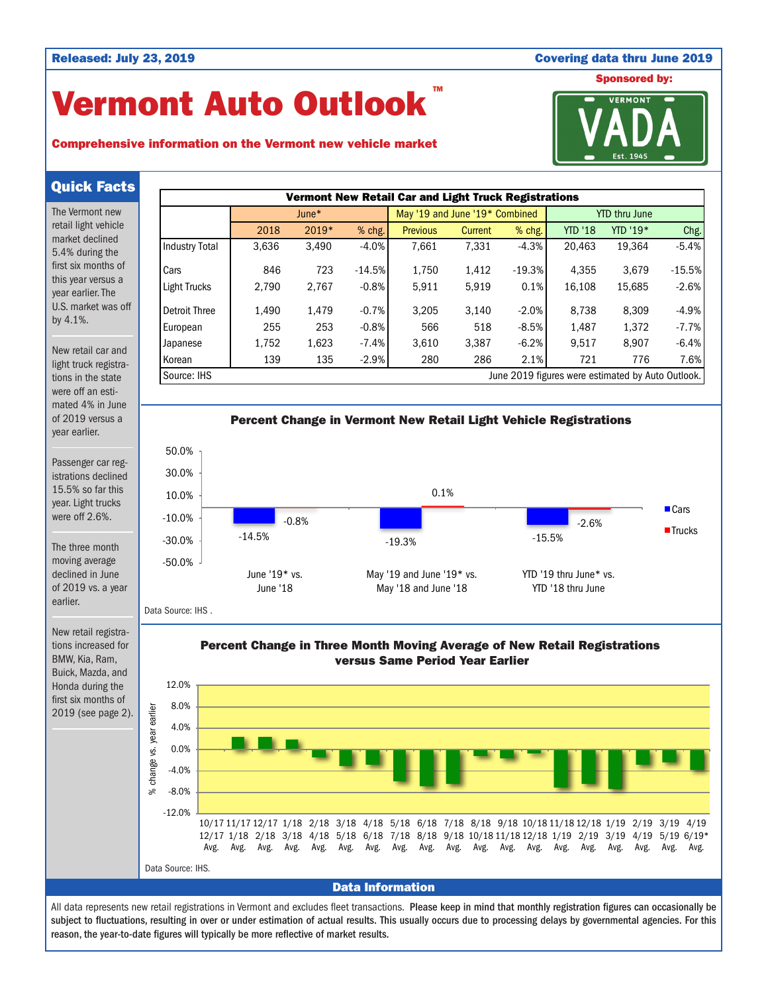### Released: July 23, 2019 Covering data thru June 2019

# Vermont Auto Outlook TM

## Comprehensive information on the Vermont new vehicle market



Quick Facts

The Vermont new retail light vehicle market declined 5.4% during the first six months of this year versus a year earlier. The U.S. market was off by 4.1%.

New retail car and light truck registrations in the state were off an estimated 4% in June of 2019 versus a year earlier.

Passenger car registrations declined 15.5% so far this year. Light trucks were off 2.6%.

The three month moving average declined in June of 2019 vs. a year earlier.

New retail registrations increased for BMW, Kia, Ram, Buick, Mazda, and Honda during the first six months of 2019 (see page 2).





Data Source: IHS .

Percent Change in Three Month Moving Average of New Retail Registrations versus Same Period Year Earlier



All data represents new retail registrations in Vermont and excludes fleet transactions. Please keep in mind that monthly registration figures can occasionally be subject to fluctuations, resulting in over or under estimation of actual results. This usually occurs due to processing delays by governmental agencies. For this reason, the year-to-date figures will typically be more reflective of market results.